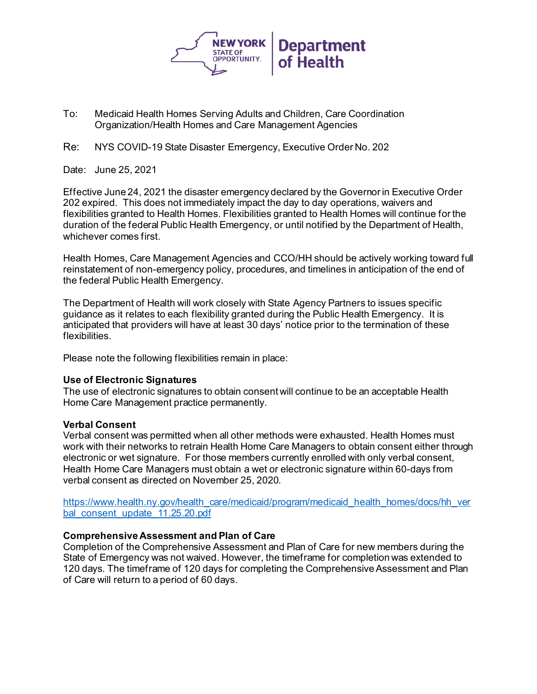

- To: Medicaid Health Homes Serving Adults and Children, Care Coordination Organization/Health Homes and Care Management Agencies
- Re: NYS COVID-19 State Disaster Emergency, Executive Order No. 202

Date: June 25, 2021

Effective June 24, 2021 the disaster emergency declared by the Governor in Executive Order 202 expired. This does not immediately impact the day to day operations, waivers and flexibilities granted to Health Homes. Flexibilities granted to Health Homes will continue for the duration of the federal Public Health Emergency, or until notified by the Department of Health, whichever comes first.

Health Homes, Care Management Agencies and CCO/HH should be actively working toward full reinstatement of non-emergency policy, procedures, and timelines in anticipation of the end of the federal Public Health Emergency.

The Department of Health will work closely with State Agency Partners to issues specific guidance as it relates to each flexibility granted during the Public Health Emergency. It is anticipated that providers will have at least 30 days' notice prior to the termination of these flexibilities.

Please note the following flexibilities remain in place:

## **Use of Electronic Signatures**

The use of electronic signatures to obtain consent will continue to be an acceptable Health Home Care Management practice permanently.

## **Verbal Consent**

Verbal consent was permitted when all other methods were exhausted. Health Homes must work with their networks to retrain Health Home Care Managers to obtain consent either through electronic or wet signature. For those members currently enrolled with only verbal consent, Health Home Care Managers must obtain a wet or electronic signature within 60-days from verbal consent as directed on November 25, 2020.

[https://www.health.ny.gov/health\\_care/medicaid/program/medicaid\\_health\\_homes/docs/hh\\_ver](https://www.health.ny.gov/health_care/medicaid/program/medicaid_health_homes/docs/hh_verbal_consent_update_11.25.20.pdf) [bal\\_consent\\_update\\_11.25.20.pdf](https://www.health.ny.gov/health_care/medicaid/program/medicaid_health_homes/docs/hh_verbal_consent_update_11.25.20.pdf)

## **Comprehensive Assessment and Plan of Care**

Completion of the Comprehensive Assessment and Plan of Care for new members during the State of Emergency was not waived. However, the timeframe for completion was extended to 120 days. The timeframe of 120 days for completing the Comprehensive Assessment and Plan of Care will return to a period of 60 days.